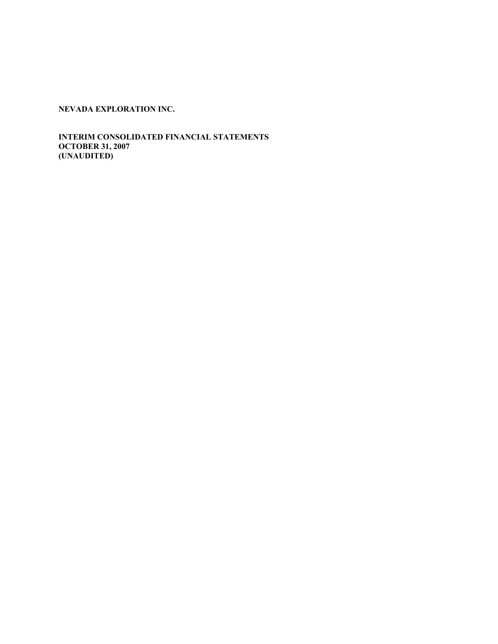**INTERIM CONSOLIDATED FINANCIAL STATEMENTS OCTOBER 31, 2007 (UNAUDITED)**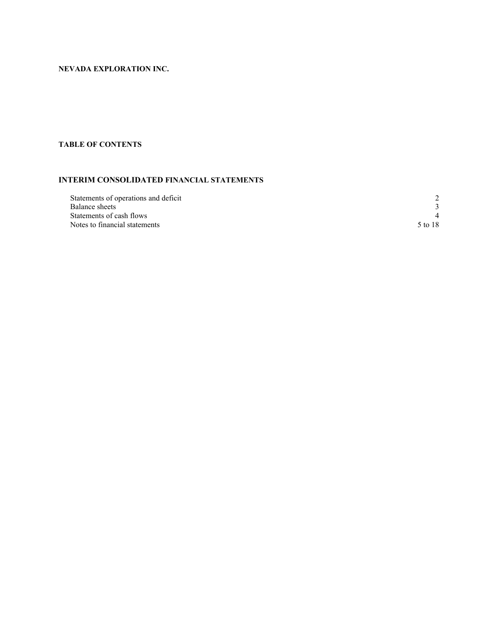# **TABLE OF CONTENTS**

# **INTERIM CONSOLIDATED FINANCIAL STATEMENTS**

| Statements of operations and deficit |         |
|--------------------------------------|---------|
| Balance sheets                       |         |
| Statements of cash flows             |         |
| Notes to financial statements        | 5 to 18 |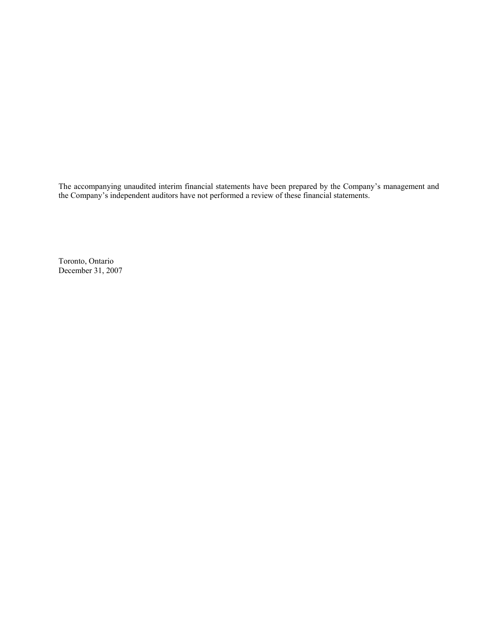The accompanying unaudited interim financial statements have been prepared by the Company's management and the Company's independent auditors have not performed a review of these financial statements.

Toronto, Ontario December 31, 2007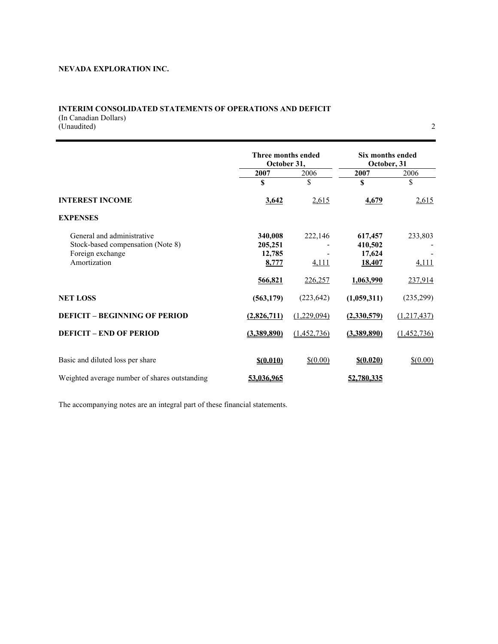# **INTERIM CONSOLIDATED STATEMENTS OF OPERATIONS AND DEFICIT**  (In Canadian Dollars)

(Unaudited) 2

|                                               | Three months ended<br>October 31, |             | Six months ended<br>October, 31 |             |
|-----------------------------------------------|-----------------------------------|-------------|---------------------------------|-------------|
|                                               | 2007                              | 2006        | 2007                            | 2006        |
|                                               | S                                 | \$          | \$                              | \$          |
| <b>INTEREST INCOME</b>                        | 3,642                             | 2,615       | 4,679                           | 2,615       |
| <b>EXPENSES</b>                               |                                   |             |                                 |             |
| General and administrative                    | 340,008                           | 222,146     | 617,457                         | 233,803     |
| Stock-based compensation (Note 8)             | 205,251                           |             | 410,502                         |             |
| Foreign exchange                              | 12,785                            |             | 17,624                          |             |
| Amortization                                  | 8,777                             | 4,111       | 18,407                          | 4,111       |
|                                               | 566,821                           | 226,257     | 1,063,990                       | 237,914     |
| <b>NET LOSS</b>                               | (563, 179)                        | (223, 642)  | (1,059,311)                     | (235, 299)  |
| <b>DEFICIT - BEGINNING OF PERIOD</b>          | (2,826,711)                       | (1,229,094) | (2,330,579)                     | (1,217,437) |
| <b>DEFICIT – END OF PERIOD</b>                | (3,389,890)                       | (1,452,736) | (3,389,890)                     | (1,452,736) |
| Basic and diluted loss per share              |                                   | $$$ (0.00)  |                                 | $$$ (0.00)  |
|                                               | \$(0.010)                         |             | \$(0.020)                       |             |
| Weighted average number of shares outstanding | 53,036,965                        |             | 52.780.335                      |             |

The accompanying notes are an integral part of these financial statements.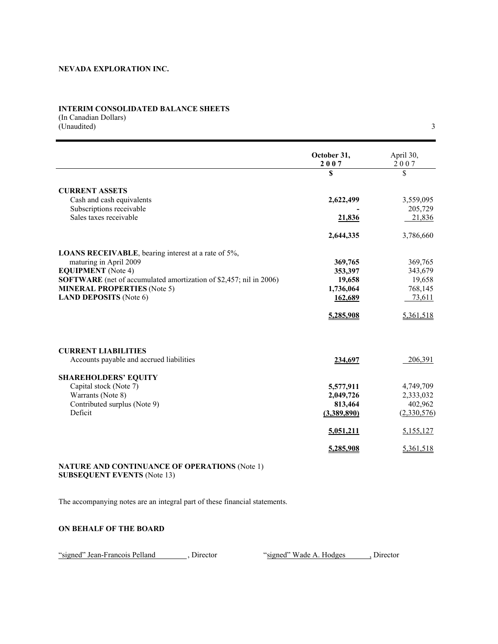## **INTERIM CONSOLIDATED BALANCE SHEETS**

(In Canadian Dollars) (Unaudited) 3

|                                                                           | October 31,<br>2007 | April 30,<br>2007 |
|---------------------------------------------------------------------------|---------------------|-------------------|
|                                                                           | \$                  | \$                |
| <b>CURRENT ASSETS</b>                                                     |                     |                   |
| Cash and cash equivalents                                                 | 2,622,499           | 3,559,095         |
| Subscriptions receivable                                                  |                     | 205,729           |
| Sales taxes receivable                                                    | 21,836              | 21,836            |
|                                                                           | 2,644,335           | 3,786,660         |
| <b>LOANS RECEIVABLE</b> , bearing interest at a rate of 5%,               |                     |                   |
| maturing in April 2009                                                    | 369,765             | 369,765           |
| <b>EQUIPMENT</b> (Note 4)                                                 | 353,397             | 343,679           |
| <b>SOFTWARE</b> (net of accumulated amortization of \$2,457; nil in 2006) | 19,658              | 19,658            |
| <b>MINERAL PROPERTIES (Note 5)</b>                                        | 1,736,064           | 768,145           |
| <b>LAND DEPOSITS</b> (Note 6)                                             | 162,689             | 73,611            |
|                                                                           | 5,285,908           | 5,361,518         |
| <b>CURRENT LIABILITIES</b>                                                |                     |                   |
| Accounts payable and accrued liabilities                                  | 234,697             | 206,391           |
| <b>SHAREHOLDERS' EQUITY</b>                                               |                     |                   |
| Capital stock (Note 7)                                                    | 5,577,911           | 4,749,709         |
| Warrants (Note 8)                                                         | 2,049,726           | 2,333,032         |
| Contributed surplus (Note 9)                                              | 813,464             | 402,962           |
| Deficit                                                                   | (3,389,890)         | (2,330,576)       |
|                                                                           | 5,051,211           | 5,155,127         |
|                                                                           | 5,285,908           | 5,361,518         |

## **NATURE AND CONTINUANCE OF OPERATIONS** (Note 1) **SUBSEQUENT EVENTS** (Note 13)

The accompanying notes are an integral part of these financial statements.

# **ON BEHALF OF THE BOARD**

"signed" Jean-Francois Pelland , Director "signed" Wade A. Hodges , Director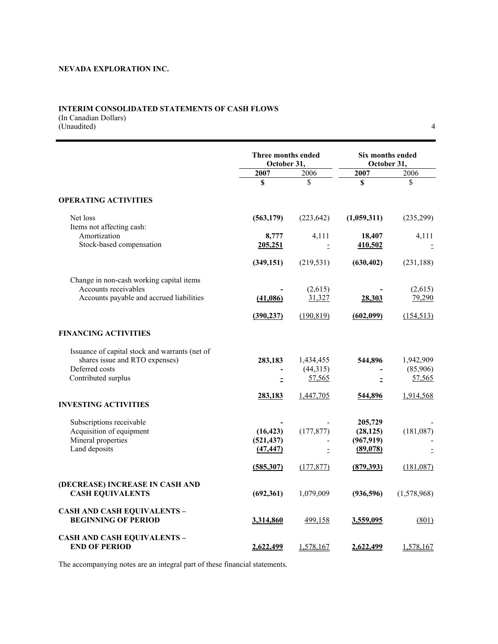## **INTERIM CONSOLIDATED STATEMENTS OF CASH FLOWS**

(In Canadian Dollars) (Unaudited) 4

|                                                                  |            | Three months ended<br>October 31, |             | Six months ended<br>October 31, |  |
|------------------------------------------------------------------|------------|-----------------------------------|-------------|---------------------------------|--|
|                                                                  | 2007       | 2006                              | 2007        | 2006                            |  |
|                                                                  | \$         | \$                                | \$          | \$                              |  |
| <b>OPERATING ACTIVITIES</b>                                      |            |                                   |             |                                 |  |
| Net loss<br>Items not affecting cash:                            | (563, 179) | (223, 642)                        | (1,059,311) | (235, 299)                      |  |
| Amortization                                                     | 8,777      | 4,111                             | 18,407      | 4,111                           |  |
| Stock-based compensation                                         | 205,251    | Ξ                                 | 410,502     |                                 |  |
|                                                                  |            |                                   |             |                                 |  |
|                                                                  | (349, 151) | (219, 531)                        | (630, 402)  | (231, 188)                      |  |
| Change in non-cash working capital items                         |            |                                   |             |                                 |  |
| Accounts receivables                                             |            | (2,615)                           |             | (2,615)                         |  |
| Accounts payable and accrued liabilities                         | (41,086)   | 31,327                            | 28,303      | 79,290                          |  |
|                                                                  |            |                                   |             |                                 |  |
|                                                                  | (390, 237) | (190, 819)                        | (602,099)   | (154, 513)                      |  |
| <b>FINANCING ACTIVITIES</b>                                      |            |                                   |             |                                 |  |
| Issuance of capital stock and warrants (net of                   |            |                                   |             |                                 |  |
| shares issue and RTO expenses)                                   | 283,183    | 1,434,455                         | 544,896     | 1,942,909                       |  |
| Deferred costs                                                   |            | (44,315)                          |             | (85,906)                        |  |
| Contributed surplus                                              |            | 57,565                            |             | 57,565                          |  |
|                                                                  | 283,183    | 1,447,705                         | 544,896     | 1,914,568                       |  |
| <b>INVESTING ACTIVITIES</b>                                      |            |                                   |             |                                 |  |
| Subscriptions receivable                                         |            |                                   | 205,729     |                                 |  |
| Acquisition of equipment                                         | (16, 423)  | (177, 877)                        | (28, 125)   | (181,087)                       |  |
| Mineral properties                                               | (521, 437) |                                   | (967, 919)  |                                 |  |
| Land deposits                                                    | (47, 447)  | Ė.                                | (89,078)    |                                 |  |
|                                                                  | (585, 307) | (177, 877)                        | (879, 393)  | (181,087)                       |  |
| (DECREASE) INCREASE IN CASH AND<br><b>CASH EQUIVALENTS</b>       | (692,361)  | 1,079,009                         | (936, 596)  | (1,578,968)                     |  |
| <b>CASH AND CASH EQUIVALENTS -</b><br><b>BEGINNING OF PERIOD</b> | 3,314,860  | 499,158                           | 3,559,095   | (801)                           |  |
| <b>CASH AND CASH EQUIVALENTS -</b><br><b>END OF PERIOD</b>       | 2,622,499  | 1,578,167                         | 2,622,499   | 1,578,167                       |  |

The accompanying notes are an integral part of these financial statements.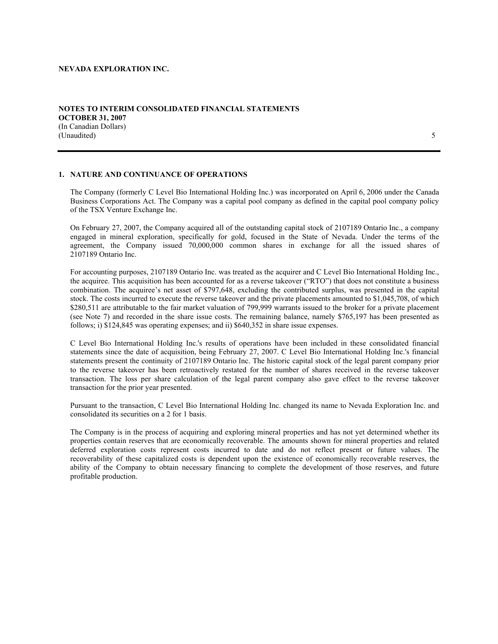**OCTOBER 31, 2007**  (In Canadian Dollars)

**NOTES TO INTERIM CONSOLIDATED FINANCIAL STATEMENTS** 

# (Unaudited) 5

# **1. NATURE AND CONTINUANCE OF OPERATIONS**

The Company (formerly C Level Bio International Holding Inc.) was incorporated on April 6, 2006 under the Canada Business Corporations Act. The Company was a capital pool company as defined in the capital pool company policy of the TSX Venture Exchange Inc.

On February 27, 2007, the Company acquired all of the outstanding capital stock of 2107189 Ontario Inc., a company engaged in mineral exploration, specifically for gold, focused in the State of Nevada. Under the terms of the agreement, the Company issued 70,000,000 common shares in exchange for all the issued shares of 2107189 Ontario Inc.

For accounting purposes, 2107189 Ontario Inc. was treated as the acquirer and C Level Bio International Holding Inc., the acquiree. This acquisition has been accounted for as a reverse takeover ("RTO") that does not constitute a business combination. The acquiree's net asset of \$797,648, excluding the contributed surplus, was presented in the capital stock. The costs incurred to execute the reverse takeover and the private placements amounted to \$1,045,708, of which \$280,511 are attributable to the fair market valuation of 799,999 warrants issued to the broker for a private placement (see Note 7) and recorded in the share issue costs. The remaining balance, namely \$765,197 has been presented as follows; i) \$124,845 was operating expenses; and ii) \$640,352 in share issue expenses.

C Level Bio International Holding Inc.'s results of operations have been included in these consolidated financial statements since the date of acquisition, being February 27, 2007. C Level Bio International Holding Inc.'s financial statements present the continuity of 2107189 Ontario Inc. The historic capital stock of the legal parent company prior to the reverse takeover has been retroactively restated for the number of shares received in the reverse takeover transaction. The loss per share calculation of the legal parent company also gave effect to the reverse takeover transaction for the prior year presented.

Pursuant to the transaction, C Level Bio International Holding Inc. changed its name to Nevada Exploration Inc. and consolidated its securities on a 2 for 1 basis.

The Company is in the process of acquiring and exploring mineral properties and has not yet determined whether its properties contain reserves that are economically recoverable. The amounts shown for mineral properties and related deferred exploration costs represent costs incurred to date and do not reflect present or future values. The recoverability of these capitalized costs is dependent upon the existence of economically recoverable reserves, the ability of the Company to obtain necessary financing to complete the development of those reserves, and future profitable production.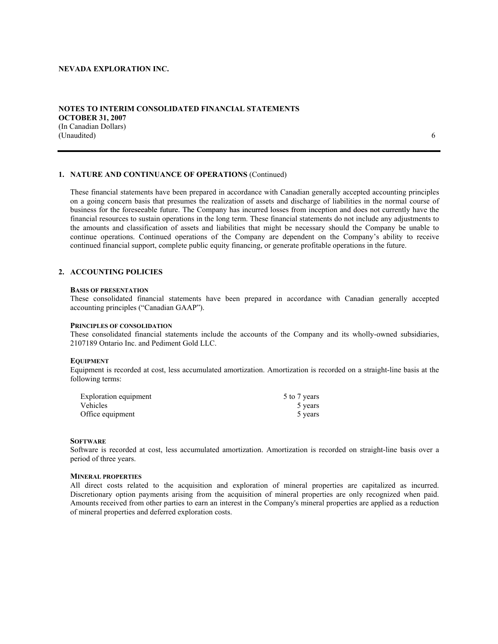## **NOTES TO INTERIM CONSOLIDATED FINANCIAL STATEMENTS OCTOBER 31, 2007**  (In Canadian Dollars) (Unaudited) 6

## **1. NATURE AND CONTINUANCE OF OPERATIONS** (Continued)

These financial statements have been prepared in accordance with Canadian generally accepted accounting principles on a going concern basis that presumes the realization of assets and discharge of liabilities in the normal course of business for the foreseeable future. The Company has incurred losses from inception and does not currently have the financial resources to sustain operations in the long term. These financial statements do not include any adjustments to the amounts and classification of assets and liabilities that might be necessary should the Company be unable to continue operations. Continued operations of the Company are dependent on the Company's ability to receive continued financial support, complete public equity financing, or generate profitable operations in the future.

## **2. ACCOUNTING POLICIES**

#### **BASIS OF PRESENTATION**

These consolidated financial statements have been prepared in accordance with Canadian generally accepted accounting principles ("Canadian GAAP").

#### **PRINCIPLES OF CONSOLIDATION**

These consolidated financial statements include the accounts of the Company and its wholly-owned subsidiaries, 2107189 Ontario Inc. and Pediment Gold LLC.

#### **EQUIPMENT**

Equipment is recorded at cost, less accumulated amortization. Amortization is recorded on a straight-line basis at the following terms:

| Exploration equipment | 5 to 7 years |
|-----------------------|--------------|
| Vehicles              | 5 years      |
| Office equipment      | 5 years      |

## **SOFTWARE**

Software is recorded at cost, less accumulated amortization. Amortization is recorded on straight-line basis over a period of three years.

#### **MINERAL PROPERTIES**

All direct costs related to the acquisition and exploration of mineral properties are capitalized as incurred. Discretionary option payments arising from the acquisition of mineral properties are only recognized when paid. Amounts received from other parties to earn an interest in the Company's mineral properties are applied as a reduction of mineral properties and deferred exploration costs.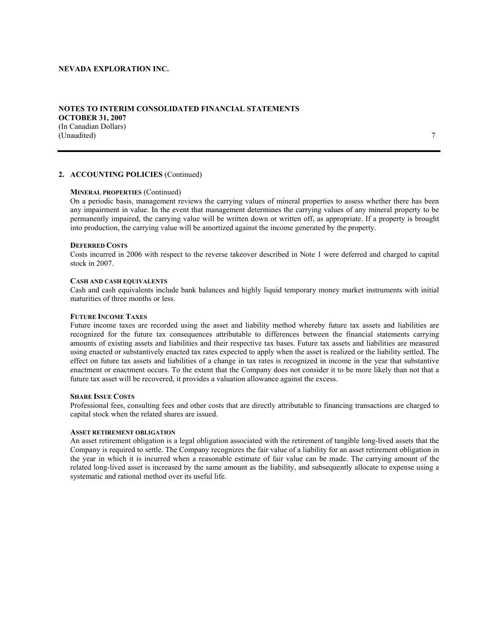## **NOTES TO INTERIM CONSOLIDATED FINANCIAL STATEMENTS OCTOBER 31, 2007**  (In Canadian Dollars) (Unaudited) 7

## **2. ACCOUNTING POLICIES** (Continued)

#### **MINERAL PROPERTIES** (Continued)

On a periodic basis, management reviews the carrying values of mineral properties to assess whether there has been any impairment in value. In the event that management determines the carrying values of any mineral property to be permanently impaired, the carrying value will be written down or written off, as appropriate. If a property is brought into production, the carrying value will be amortized against the income generated by the property.

#### **DEFERRED COSTS**

Costs incurred in 2006 with respect to the reverse takeover described in Note 1 were deferred and charged to capital stock in 2007.

#### **CASH AND CASH EQUIVALENTS**

Cash and cash equivalents include bank balances and highly liquid temporary money market instruments with initial maturities of three months or less.

#### **FUTURE INCOME TAXES**

Future income taxes are recorded using the asset and liability method whereby future tax assets and liabilities are recognized for the future tax consequences attributable to differences between the financial statements carrying amounts of existing assets and liabilities and their respective tax bases. Future tax assets and liabilities are measured using enacted or substantively enacted tax rates expected to apply when the asset is realized or the liability settled. The effect on future tax assets and liabilities of a change in tax rates is recognized in income in the year that substantive enactment or enactment occurs. To the extent that the Company does not consider it to be more likely than not that a future tax asset will be recovered, it provides a valuation allowance against the excess.

#### **SHARE ISSUE COSTS**

Professional fees, consulting fees and other costs that are directly attributable to financing transactions are charged to capital stock when the related shares are issued.

#### **ASSET RETIREMENT OBLIGATION**

An asset retirement obligation is a legal obligation associated with the retirement of tangible long-lived assets that the Company is required to settle. The Company recognizes the fair value of a liability for an asset retirement obligation in the year in which it is incurred when a reasonable estimate of fair value can be made. The carrying amount of the related long-lived asset is increased by the same amount as the liability, and subsequently allocate to expense using a systematic and rational method over its useful life.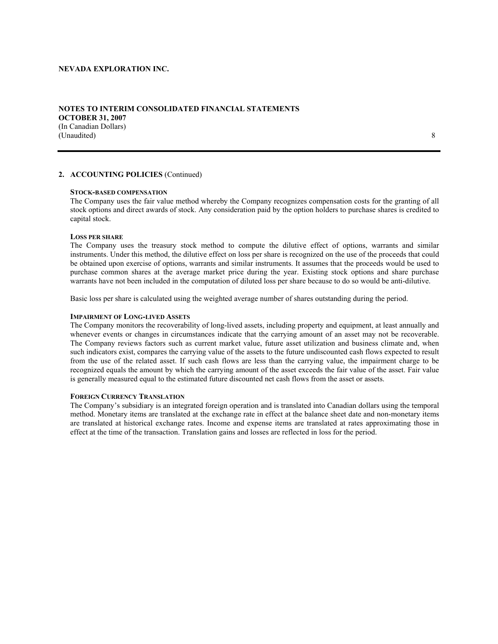## **NOTES TO INTERIM CONSOLIDATED FINANCIAL STATEMENTS OCTOBER 31, 2007**  (In Canadian Dollars) (Unaudited) 8

## **2. ACCOUNTING POLICIES** (Continued)

#### **STOCK-BASED COMPENSATION**

The Company uses the fair value method whereby the Company recognizes compensation costs for the granting of all stock options and direct awards of stock. Any consideration paid by the option holders to purchase shares is credited to capital stock.

#### **LOSS PER SHARE**

The Company uses the treasury stock method to compute the dilutive effect of options, warrants and similar instruments. Under this method, the dilutive effect on loss per share is recognized on the use of the proceeds that could be obtained upon exercise of options, warrants and similar instruments. It assumes that the proceeds would be used to purchase common shares at the average market price during the year. Existing stock options and share purchase warrants have not been included in the computation of diluted loss per share because to do so would be anti-dilutive.

Basic loss per share is calculated using the weighted average number of shares outstanding during the period.

#### **IMPAIRMENT OF LONG-LIVED ASSETS**

The Company monitors the recoverability of long-lived assets, including property and equipment, at least annually and whenever events or changes in circumstances indicate that the carrying amount of an asset may not be recoverable. The Company reviews factors such as current market value, future asset utilization and business climate and, when such indicators exist, compares the carrying value of the assets to the future undiscounted cash flows expected to result from the use of the related asset. If such cash flows are less than the carrying value, the impairment charge to be recognized equals the amount by which the carrying amount of the asset exceeds the fair value of the asset. Fair value is generally measured equal to the estimated future discounted net cash flows from the asset or assets.

#### **FOREIGN CURRENCY TRANSLATION**

The Company's subsidiary is an integrated foreign operation and is translated into Canadian dollars using the temporal method. Monetary items are translated at the exchange rate in effect at the balance sheet date and non-monetary items are translated at historical exchange rates. Income and expense items are translated at rates approximating those in effect at the time of the transaction. Translation gains and losses are reflected in loss for the period.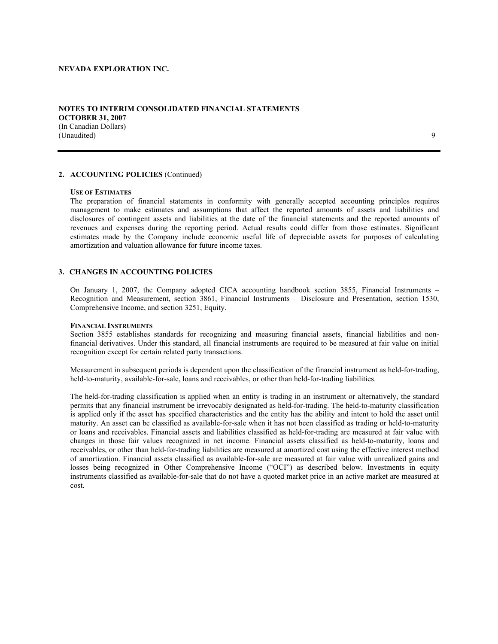#### **NOTES TO INTERIM CONSOLIDATED FINANCIAL STATEMENTS OCTOBER 31, 2007**  (In Canadian Dollars) (Unaudited) 9

## **2. ACCOUNTING POLICIES** (Continued)

#### **USE OF ESTIMATES**

The preparation of financial statements in conformity with generally accepted accounting principles requires management to make estimates and assumptions that affect the reported amounts of assets and liabilities and disclosures of contingent assets and liabilities at the date of the financial statements and the reported amounts of revenues and expenses during the reporting period. Actual results could differ from those estimates. Significant estimates made by the Company include economic useful life of depreciable assets for purposes of calculating amortization and valuation allowance for future income taxes.

## **3. CHANGES IN ACCOUNTING POLICIES**

On January 1, 2007, the Company adopted CICA accounting handbook section 3855, Financial Instruments – Recognition and Measurement, section 3861, Financial Instruments – Disclosure and Presentation, section 1530, Comprehensive Income, and section 3251, Equity.

#### **FINANCIAL INSTRUMENTS**

Section 3855 establishes standards for recognizing and measuring financial assets, financial liabilities and nonfinancial derivatives. Under this standard, all financial instruments are required to be measured at fair value on initial recognition except for certain related party transactions.

Measurement in subsequent periods is dependent upon the classification of the financial instrument as held-for-trading, held-to-maturity, available-for-sale, loans and receivables, or other than held-for-trading liabilities.

The held-for-trading classification is applied when an entity is trading in an instrument or alternatively, the standard permits that any financial instrument be irrevocably designated as held-for-trading. The held-to-maturity classification is applied only if the asset has specified characteristics and the entity has the ability and intent to hold the asset until maturity. An asset can be classified as available-for-sale when it has not been classified as trading or held-to-maturity or loans and receivables. Financial assets and liabilities classified as held-for-trading are measured at fair value with changes in those fair values recognized in net income. Financial assets classified as held-to-maturity, loans and receivables, or other than held-for-trading liabilities are measured at amortized cost using the effective interest method of amortization. Financial assets classified as available-for-sale are measured at fair value with unrealized gains and losses being recognized in Other Comprehensive Income ("OCI") as described below. Investments in equity instruments classified as available-for-sale that do not have a quoted market price in an active market are measured at cost.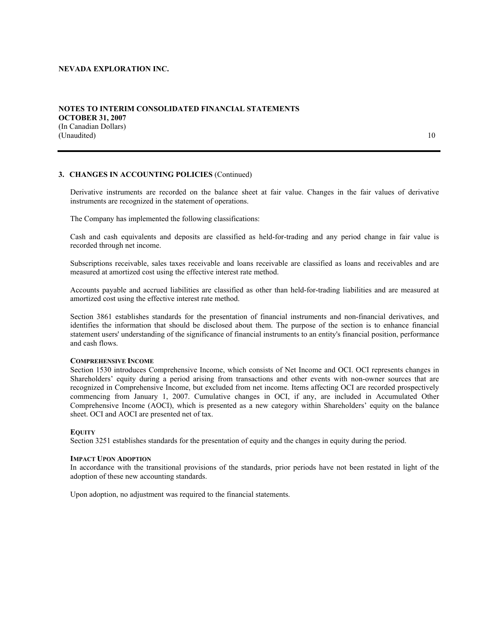(In Canadian Dollars) (Unaudited) 10

## **3. CHANGES IN ACCOUNTING POLICIES** (Continued)

Derivative instruments are recorded on the balance sheet at fair value. Changes in the fair values of derivative instruments are recognized in the statement of operations.

The Company has implemented the following classifications:

Cash and cash equivalents and deposits are classified as held-for-trading and any period change in fair value is recorded through net income.

Subscriptions receivable, sales taxes receivable and loans receivable are classified as loans and receivables and are measured at amortized cost using the effective interest rate method.

Accounts payable and accrued liabilities are classified as other than held-for-trading liabilities and are measured at amortized cost using the effective interest rate method.

Section 3861 establishes standards for the presentation of financial instruments and non-financial derivatives, and identifies the information that should be disclosed about them. The purpose of the section is to enhance financial statement users' understanding of the significance of financial instruments to an entity's financial position, performance and cash flows.

#### **COMPREHENSIVE INCOME**

Section 1530 introduces Comprehensive Income, which consists of Net Income and OCI. OCI represents changes in Shareholders' equity during a period arising from transactions and other events with non-owner sources that are recognized in Comprehensive Income, but excluded from net income. Items affecting OCI are recorded prospectively commencing from January 1, 2007. Cumulative changes in OCI, if any, are included in Accumulated Other Comprehensive Income (AOCI), which is presented as a new category within Shareholders' equity on the balance sheet. OCI and AOCI are presented net of tax.

#### **EQUITY**

Section 3251 establishes standards for the presentation of equity and the changes in equity during the period.

#### **IMPACT UPON ADOPTION**

In accordance with the transitional provisions of the standards, prior periods have not been restated in light of the adoption of these new accounting standards.

Upon adoption, no adjustment was required to the financial statements.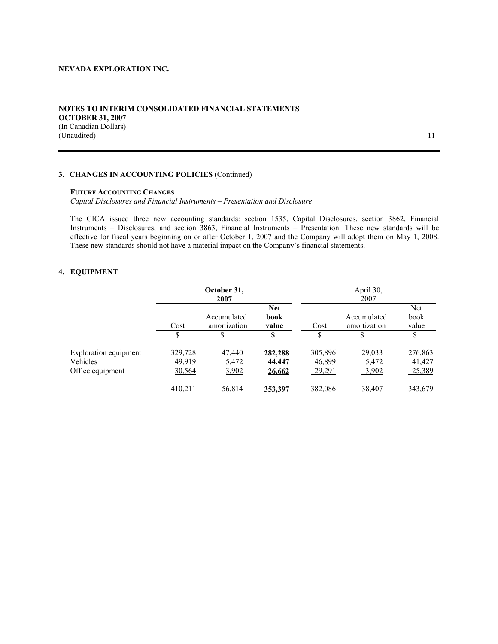## **NOTES TO INTERIM CONSOLIDATED FINANCIAL STATEMENTS OCTOBER 31, 2007**  (In Canadian Dollars) (Unaudited) 11

## **3. CHANGES IN ACCOUNTING POLICIES** (Continued)

#### **FUTURE ACCOUNTING CHANGES**

*Capital Disclosures and Financial Instruments – Presentation and Disclosure* 

The CICA issued three new accounting standards: section 1535, Capital Disclosures, section 3862, Financial Instruments – Disclosures, and section 3863, Financial Instruments – Presentation. These new standards will be effective for fiscal years beginning on or after October 1, 2007 and the Company will adopt them on May 1, 2008. These new standards should not have a material impact on the Company's financial statements.

## **4. EQUIPMENT**

|                                                              |                             | October 31,<br>2007         |                             |                             | April 30,<br>2007           |                             |
|--------------------------------------------------------------|-----------------------------|-----------------------------|-----------------------------|-----------------------------|-----------------------------|-----------------------------|
|                                                              | Cost                        | Accumulated<br>amortization | <b>Net</b><br>book<br>value | Cost                        | Accumulated<br>amortization | Net<br>book<br>value        |
|                                                              | S                           |                             | S                           |                             |                             | \$                          |
| <b>Exploration equipment</b><br>Vehicles<br>Office equipment | 329,728<br>49.919<br>30,564 | 47,440<br>5,472<br>3,902    | 282,288<br>44,447<br>26,662 | 305,896<br>46,899<br>29,291 | 29,033<br>5,472<br>3,902    | 276,863<br>41,427<br>25,389 |
|                                                              | 410,211                     | 56,814                      | 353.397                     | 382,086                     | 38,407                      | 343,679                     |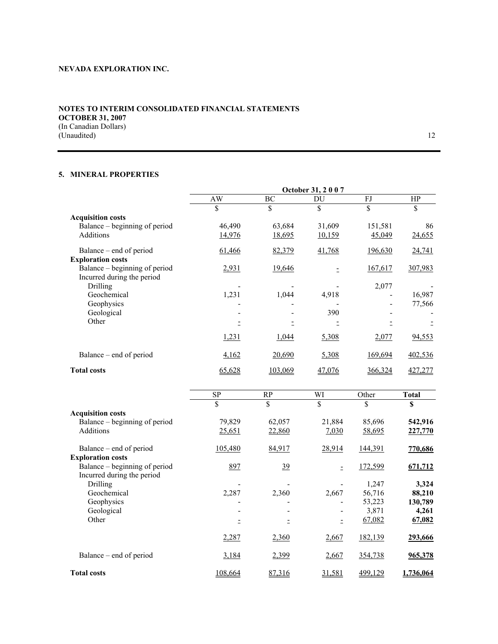## **NOTES TO INTERIM CONSOLIDATED FINANCIAL STATEMENTS OCTOBER 31, 2007**  (In Canadian Dollars) (Unaudited) 12

# **5. MINERAL PROPERTIES**

|                               | October 31, 2007 |               |               |                |               |
|-------------------------------|------------------|---------------|---------------|----------------|---------------|
|                               | AW               | ВC            | DU            | FJ             | HP            |
|                               | \$               | \$            | \$            | \$             | \$            |
| <b>Acquisition costs</b>      |                  |               |               |                |               |
| Balance – beginning of period | 46,490           | 63,684        | 31,609        | 151,581        | 86            |
| <b>Additions</b>              | <u>14,976</u>    | <u>18,695</u> | <u>10,159</u> | 45,049         | 24,655        |
| Balance – end of period       | 61,466           | 82,379        | 41,768        | <u>196,630</u> | 24,741        |
| <b>Exploration costs</b>      |                  |               |               |                |               |
| Balance – beginning of period | 2,931            | 19,646        |               | 167,617        | 307,983       |
| Incurred during the period    |                  |               |               |                |               |
| Drilling                      |                  |               |               | 2,077          |               |
| Geochemical                   | 1,231            | 1,044         | 4,918         |                | 16,987        |
| Geophysics                    |                  |               |               |                | 77,566        |
| Geological                    |                  |               | 390           |                |               |
| Other                         |                  |               |               |                |               |
|                               | 1,231            | 1,044         | 5,308         | 2,077          | <u>94,553</u> |
| Balance – end of period       | <u>4,162</u>     | 20,690        | 5,308         | 169,694        | 402,536       |
| <b>Total costs</b>            | 65,628           | 103,069       | 47,076        | 366,324        | 427,277       |

|                               | <b>SP</b> | RP        | WI     | Other   | <b>Total</b> |
|-------------------------------|-----------|-----------|--------|---------|--------------|
|                               | \$        | \$        | \$     | \$      | \$           |
| <b>Acquisition costs</b>      |           |           |        |         |              |
| Balance – beginning of period | 79,829    | 62,057    | 21,884 | 85,696  | 542,916      |
| <b>Additions</b>              | 25,651    | 22,860    | 7,030  | 58,695  | 227,770      |
| Balance – end of period       | 105,480   | 84,917    | 28,914 | 144,391 | 770,686      |
| <b>Exploration costs</b>      |           |           |        |         |              |
| Balance – beginning of period | 897       | <u>39</u> |        | 172,599 | 671,712      |
| Incurred during the period    |           |           |        |         |              |
| Drilling                      |           |           |        | 1,247   | 3,324        |
| Geochemical                   | 2,287     | 2,360     | 2,667  | 56,716  | 88,210       |
| Geophysics                    |           |           |        | 53,223  | 130,789      |
| Geological                    |           |           |        | 3,871   | 4,261        |
| Other                         |           |           |        | 67,082  | 67,082       |
|                               | 2,287     | 2,360     | 2,667  | 182,139 | 293,666      |
| Balance – end of period       | 3,184     | 2,399     | 2,667  | 354,738 | 965,378      |
| <b>Total costs</b>            | 108,664   | 87,316    | 31,581 | 499,129 | 1,736,064    |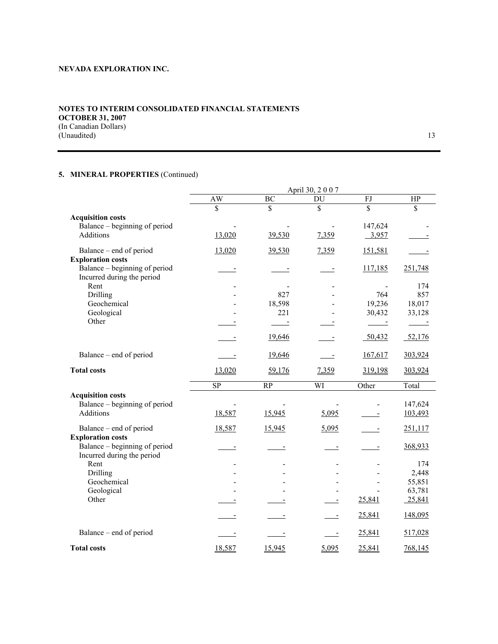## **NOTES TO INTERIM CONSOLIDATED FINANCIAL STATEMENTS OCTOBER 31, 2007**  (In Canadian Dollars) (Unaudited) 13

# **5. MINERAL PROPERTIES** (Continued)

|                                                   |                          |                         | April 30, 2007           |                         |            |
|---------------------------------------------------|--------------------------|-------------------------|--------------------------|-------------------------|------------|
|                                                   | AW                       | BC                      | DU                       | FJ                      | HP         |
|                                                   | $\overline{\mathbb{S}}$  | $\overline{\mathbb{S}}$ | \$                       | $\overline{\mathbb{S}}$ | \$         |
| <b>Acquisition costs</b>                          |                          |                         |                          |                         |            |
| Balance – beginning of period<br><b>Additions</b> | 13,020                   | 39,530                  |                          | 147,624                 |            |
|                                                   |                          |                         | 7,359                    | 3,957                   |            |
| Balance – end of period                           | 13,020                   | 39,530                  | 7,359                    | 151,581                 |            |
| <b>Exploration costs</b>                          |                          |                         |                          |                         |            |
| Balance – beginning of period                     |                          |                         |                          | 117,185                 | 251,748    |
| Incurred during the period<br>Rent                |                          |                         |                          |                         |            |
| Drilling                                          |                          | 827                     |                          | 764                     | 174<br>857 |
| Geochemical                                       |                          | 18,598                  |                          | 19,236                  | 18,017     |
| Geological                                        |                          | 221                     |                          | 30,432                  | 33,128     |
| Other                                             |                          | $\sim$                  |                          | $\sim$ $\sim$           | $\sim$ $-$ |
|                                                   |                          |                         |                          |                         |            |
|                                                   |                          | 19,646                  |                          | 50,432                  | 52,176     |
| Balance – end of period                           |                          | 19,646                  | $\overline{\phantom{a}}$ | 167,617                 | 303,924    |
| <b>Total costs</b>                                | 13,020                   | 59,176                  | 7,359                    | 319,198                 | 303,924    |
|                                                   | $\overline{SP}$          | $\overline{RP}$         | WI                       | Other                   | Total      |
| <b>Acquisition costs</b>                          |                          |                         |                          |                         |            |
| Balance – beginning of period                     |                          |                         | $\overline{\phantom{a}}$ |                         | 147,624    |
| <b>Additions</b>                                  | 18,587                   | 15,945                  | 5,095                    |                         | 103,493    |
| Balance - end of period                           | 18,587                   | 15,945                  | 5,095                    |                         | 251,117    |
| <b>Exploration costs</b>                          |                          |                         |                          |                         |            |
| Balance – beginning of period                     | $\overline{\phantom{a}}$ |                         |                          |                         | 368,933    |
| Incurred during the period                        |                          |                         |                          |                         |            |
| Rent                                              |                          |                         |                          |                         | 174        |
| Drilling                                          |                          |                         |                          |                         | 2,448      |
| Geochemical                                       |                          |                         |                          |                         | 55,851     |
| Geological                                        |                          |                         |                          |                         | 63,781     |
| Other                                             |                          |                         |                          | 25,841                  | 25,841     |
|                                                   |                          |                         |                          | 25,841                  | 148,095    |
| Balance – end of period                           |                          |                         |                          | 25,841                  | 517,028    |
| <b>Total costs</b>                                | 18,587                   | 15,945                  | 5,095                    | 25,841                  | 768,145    |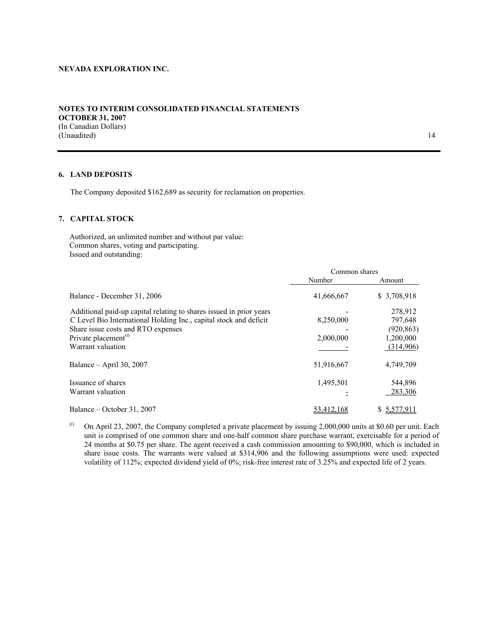## **NOTES TO INTERIM CONSOLIDATED FINANCIAL STATEMENTS OCTOBER 31, 2007**  (In Canadian Dollars) (Unaudited) 14

#### **6. LAND DEPOSITS**

The Company deposited \$162,689 as security for reclamation on properties.

#### **7. CAPITAL STOCK**

Authorized, an unlimited number and without par value: Common shares, voting and participating. Issued and outstanding:

|                                                                     | Common shares |             |  |
|---------------------------------------------------------------------|---------------|-------------|--|
|                                                                     | Number        | Amount      |  |
| Balance - December 31, 2006                                         | 41,666,667    | \$3,708,918 |  |
| Additional paid-up capital relating to shares issued in prior years |               | 278,912     |  |
| C Level Bio International Holding Inc., capital stock and deficit   | 8,250,000     | 797,648     |  |
| Share issue costs and RTO expenses                                  |               | (920, 863)  |  |
| Private placement <sup>(1)</sup>                                    | 2,000,000     | 1,200,000   |  |
| Warrant valuation                                                   |               | (314,906)   |  |
| Balance $-$ April 30, 2007                                          | 51,916,667    | 4,749,709   |  |
| Issuance of shares                                                  | 1,495,501     | 544,896     |  |
| Warrant valuation                                                   |               | 283,306     |  |
| Balance – October 31, 2007                                          | 53,412,168    | \$5,577,911 |  |

 $\mu$ <sup>(i)</sup> On April 23, 2007, the Company completed a private placement by issuing 2,000,000 units at \$0.60 per unit. Each unit is comprised of one common share and one-half common share purchase warrant, exercisable for a period of 24 months at \$0.75 per share. The agent received a cash commission amounting to \$90,000, which is included in share issue costs. The warrants were valued at \$314,906 and the following assumptions were used: expected volatility of 112%; expected dividend yield of 0%; risk-free interest rate of 3.25% and expected life of 2 years.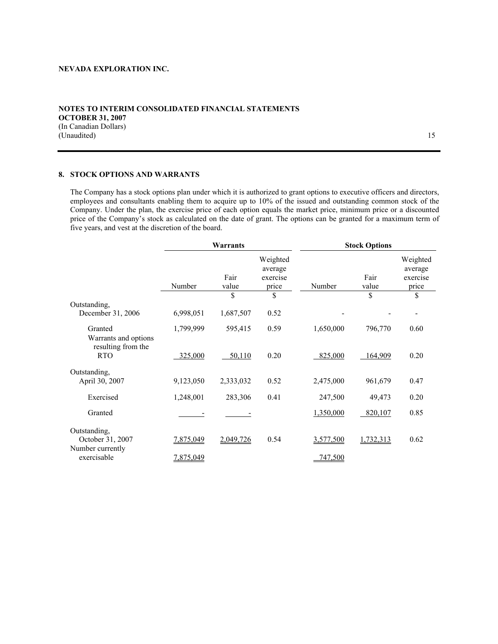(In Canadian Dollars) (Unaudited) 15

#### **8. STOCK OPTIONS AND WARRANTS**

The Company has a stock options plan under which it is authorized to grant options to executive officers and directors, employees and consultants enabling them to acquire up to 10% of the issued and outstanding common stock of the Company. Under the plan, the exercise price of each option equals the market price, minimum price or a discounted price of the Company's stock as calculated on the date of grant. The options can be granted for a maximum term of five years, and vest at the discretion of the board.

|                                                       |           | Warrants      |                                          | <b>Stock Options</b> |               |                                          |
|-------------------------------------------------------|-----------|---------------|------------------------------------------|----------------------|---------------|------------------------------------------|
|                                                       | Number    | Fair<br>value | Weighted<br>average<br>exercise<br>price | Number               | Fair<br>value | Weighted<br>average<br>exercise<br>price |
|                                                       |           | \$            | \$                                       |                      | \$            | \$                                       |
| Outstanding,<br>December 31, 2006                     | 6,998,051 | 1,687,507     | 0.52                                     |                      |               |                                          |
| Granted<br>Warrants and options<br>resulting from the | 1,799,999 | 595,415       | 0.59                                     | 1,650,000            | 796,770       | 0.60                                     |
| <b>RTO</b>                                            | 325,000   | 50,110        | 0.20                                     | 825,000              | 164,909       | 0.20                                     |
| Outstanding,<br>April 30, 2007                        | 9,123,050 | 2,333,032     | 0.52                                     | 2,475,000            | 961,679       | 0.47                                     |
| Exercised                                             | 1,248,001 | 283,306       | 0.41                                     | 247,500              | 49,473        | 0.20                                     |
| Granted                                               |           |               |                                          | 1,350,000            | 820,107       | 0.85                                     |
| Outstanding,<br>October 31, 2007<br>Number currently  | 7,875,049 | 2,049,726     | 0.54                                     | 3,577,500            | 1,732,313     | 0.62                                     |
| exercisable                                           | 7,875,049 |               |                                          | 747,500              |               |                                          |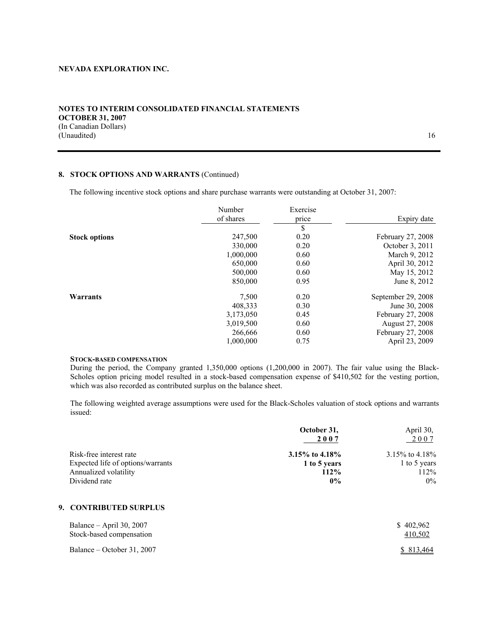## **NOTES TO INTERIM CONSOLIDATED FINANCIAL STATEMENTS OCTOBER 31, 2007**  (In Canadian Dollars) (Unaudited) 16

## **8. STOCK OPTIONS AND WARRANTS** (Continued)

The following incentive stock options and share purchase warrants were outstanding at October 31, 2007:

|                      | Number<br>of shares | Exercise<br>price | Expiry date        |
|----------------------|---------------------|-------------------|--------------------|
|                      |                     | \$                |                    |
| <b>Stock options</b> | 247,500             | 0.20              | February 27, 2008  |
|                      | 330,000             | 0.20              | October 3, 2011    |
|                      | 1,000,000           | 0.60              | March 9, 2012      |
|                      | 650,000             | 0.60              | April 30, 2012     |
|                      | 500,000             | 0.60              | May 15, 2012       |
|                      | 850,000             | 0.95              | June 8, 2012       |
| Warrants             | 7,500               | 0.20              | September 29, 2008 |
|                      | 408,333             | 0.30              | June 30, 2008      |
|                      | 3,173,050           | 0.45              | February 27, 2008  |
|                      | 3,019,500           | 0.60              | August 27, 2008    |
|                      | 266,666             | 0.60              | February 27, 2008  |
|                      | 1,000,000           | 0.75              | April 23, 2009     |

# **STOCK-BASED COMPENSATION**

During the period, the Company granted 1,350,000 options (1,200,000 in 2007). The fair value using the Black-Scholes option pricing model resulted in a stock-based compensation expense of \$410,502 for the vesting portion, which was also recorded as contributed surplus on the balance sheet.

The following weighted average assumptions were used for the Black-Scholes valuation of stock options and warrants issued:

|                                   | October 31,      | April 30,            |  |
|-----------------------------------|------------------|----------------------|--|
|                                   | 2007             | 2007                 |  |
| Risk-free interest rate           | 3.15\% to 4.18\% | $3.15\%$ to $4.18\%$ |  |
| Expected life of options/warrants | 1 to 5 years     | 1 to 5 years         |  |
| Annualized volatility             | 112%             | 112%                 |  |
| Dividend rate                     | $0\%$            | $0\%$                |  |

# **9. CONTRIBUTED SURPLUS**

| Balance – April 30, 2007   | \$402.962  |
|----------------------------|------------|
| Stock-based compensation   | 410,502    |
| Balance – October 31, 2007 | \$ 813,464 |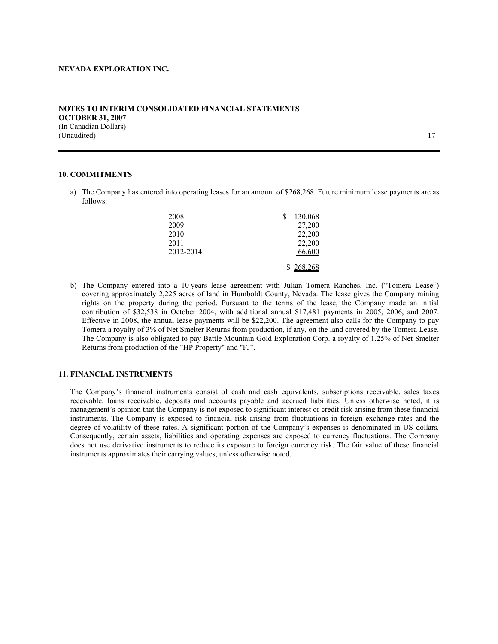#### **NOTES TO INTERIM CONSOLIDATED FINANCIAL STATEMENTS OCTOBER 31, 2007**  (In Canadian Dollars) (Unaudited) 17

#### **10. COMMITMENTS**

a) The Company has entered into operating leases for an amount of \$268,268. Future minimum lease payments are as follows:

| 2008      | 130,068   |
|-----------|-----------|
| 2009      | 27,200    |
| 2010      | 22,200    |
| 2011      | 22,200    |
| 2012-2014 | 66,600    |
|           | \$268,268 |

b) The Company entered into a 10 years lease agreement with Julian Tomera Ranches, Inc. ("Tomera Lease") covering approximately 2,225 acres of land in Humboldt County, Nevada. The lease gives the Company mining rights on the property during the period. Pursuant to the terms of the lease, the Company made an initial contribution of \$32,538 in October 2004, with additional annual \$17,481 payments in 2005, 2006, and 2007. Effective in 2008, the annual lease payments will be \$22,200. The agreement also calls for the Company to pay Tomera a royalty of 3% of Net Smelter Returns from production, if any, on the land covered by the Tomera Lease. The Company is also obligated to pay Battle Mountain Gold Exploration Corp. a royalty of 1.25% of Net Smelter Returns from production of the "HP Property" and "FJ".

## **11. FINANCIAL INSTRUMENTS**

The Company's financial instruments consist of cash and cash equivalents, subscriptions receivable, sales taxes receivable, loans receivable, deposits and accounts payable and accrued liabilities. Unless otherwise noted, it is management's opinion that the Company is not exposed to significant interest or credit risk arising from these financial instruments. The Company is exposed to financial risk arising from fluctuations in foreign exchange rates and the degree of volatility of these rates. A significant portion of the Company's expenses is denominated in US dollars. Consequently, certain assets, liabilities and operating expenses are exposed to currency fluctuations. The Company does not use derivative instruments to reduce its exposure to foreign currency risk. The fair value of these financial instruments approximates their carrying values, unless otherwise noted.